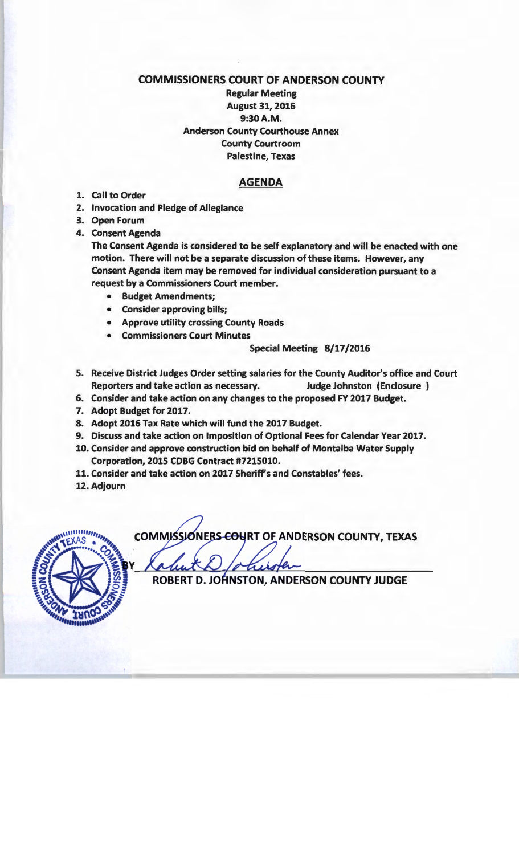## COMMISSIONERS COURT OF ANDERSON COUNTY

Regular Meeting August 31, 2016 9:30A.M. Anderson County Courthouse Annex County Courtroom Palestine, Texas

## AGENDA

- 1. Call to Order
- 2. Invocation and Pledge of Allegiance
- 3. Open Forum
- 4. Consent Agenda

The Consent Agenda is considered to be self explanatory and will be enacted with one motion. There will not be a separate discussion of these items. However, any Consent Agenda item may be removed for individual consideration pursuant to a request by a Commissioners Court member.

- Budget Amendments;
- Consider approving bills;
- Approve utility crossing County Roads
- Commissioners Court Minutes

## Special Meeting 8/17/2016

- 5. Receive District Judges Order setting salaries for the County Auditor's office and Court Reporters and take action as necessary. Judge Johnston (Enclosure )
- 6. Consider and take action on any changes to the proposed FY 2017 Budget.
- 7. Adopt Budget for 2017.
- 8. Adopt 2016 Tax Rate which will fund the 2017 Budget.
- 9. Discuss and take action on Imposition of Optional Fees for Calendar Year 2017.
- 10. Consider and approve construction bid on behalf of Montalba Water Supply Corporation, 2015 CDBG Contract #7215010.
- 11. Consider and take action on 2017 Sheriff's and Constables' fees.
- 12. Adjourn



**COMMISSIONERS-COURT OF ANDERSON COUNTY, TEXAS** 

ROBERT D. JOHNSTON, ANDERSON COUNTY JUDGE